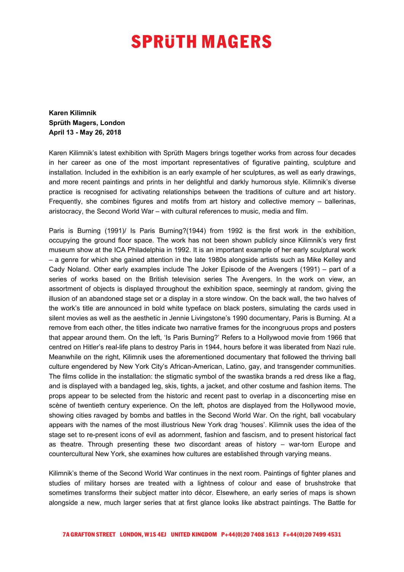## **SPRUTH MAGERS**

**Karen Kilimnik Sprüth Magers, London April 13 - May 26, 2018**

Karen Kilimnik's latest exhibition with Sprüth Magers brings together works from across four decades in her career as one of the most important representatives of figurative painting, sculpture and installation. Included in the exhibition is an early example of her sculptures, as well as early drawings, and more recent paintings and prints in her delightful and darkly humorous style. Kilimnik's diverse practice is recognised for activating relationships between the traditions of culture and art history. Frequently, she combines figures and motifs from art history and collective memory – ballerinas, aristocracy, the Second World War – with cultural references to music, media and film.

Paris is Burning (1991)/ Is Paris Burning?(1944) from 1992 is the first work in the exhibition, occupying the ground floor space. The work has not been shown publicly since Kilimnik's very first museum show at the ICA Philadelphia in 1992. It is an important example of her early sculptural work – a genre for which she gained attention in the late 1980s alongside artists such as Mike Kelley and Cady Noland. Other early examples include The Joker Episode of the Avengers (1991) – part of a series of works based on the British television series The Avengers. In the work on view, an assortment of objects is displayed throughout the exhibition space, seemingly at random, giving the illusion of an abandoned stage set or a display in a store window. On the back wall, the two halves of the work's title are announced in bold white typeface on black posters, simulating the cards used in silent movies as well as the aesthetic in Jennie Livingstone's 1990 documentary, Paris is Burning. At a remove from each other, the titles indicate two narrative frames for the incongruous props and posters that appear around them. On the left, 'Is Paris Burning?' Refers to a Hollywood movie from 1966 that centred on Hitler's real-life plans to destroy Paris in 1944, hours before it was liberated from Nazi rule. Meanwhile on the right, Kilimnik uses the aforementioned documentary that followed the thriving ball culture engendered by New York City's African-American, Latino, gay, and transgender communities. The films collide in the installation: the stigmatic symbol of the swastika brands a red dress like a flag, and is displayed with a bandaged leg, skis, tights, a jacket, and other costume and fashion items. The props appear to be selected from the historic and recent past to overlap in a disconcerting mise en scène of twentieth century experience. On the left, photos are displayed from the Hollywood movie, showing cities ravaged by bombs and battles in the Second World War. On the right, ball vocabulary appears with the names of the most illustrious New York drag 'houses'. Kilimnik uses the idea of the stage set to re-present icons of evil as adornment, fashion and fascism, and to present historical fact as theatre. Through presenting these two discordant areas of history – war-torn Europe and countercultural New York, she examines how cultures are established through varying means.

Kilimnik's theme of the Second World War continues in the next room. Paintings of fighter planes and studies of military horses are treated with a lightness of colour and ease of brushstroke that sometimes transforms their subject matter into décor. Elsewhere, an early series of maps is shown alongside a new, much larger series that at first glance looks like abstract paintings. The Battle for